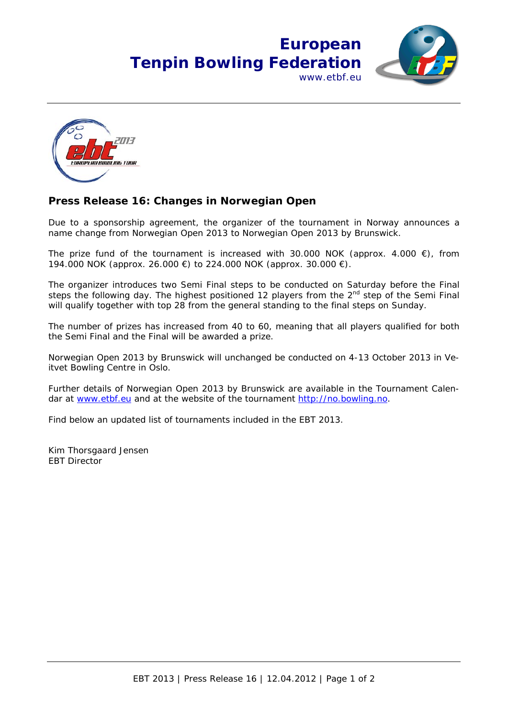## **European Tenpin Bowling Federation** www.ethf.eu





## **Press Release 16: Changes in Norwegian Open**

Due to a sponsorship agreement, the organizer of the tournament in Norway announces a name change from Norwegian Open 2013 to Norwegian Open 2013 by Brunswick.

The prize fund of the tournament is increased with 30.000 NOK (approx. 4.000  $\epsilon$ ), from 194.000 NOK (approx. 26.000 €) to 224.000 NOK (approx. 30.000 €).

The organizer introduces two Semi Final steps to be conducted on Saturday before the Final steps the following day. The highest positioned 12 players from the  $2<sup>nd</sup>$  step of the Semi Final will qualify together with top 28 from the general standing to the final steps on Sunday.

The number of prizes has increased from 40 to 60, meaning that all players qualified for both the Semi Final and the Final will be awarded a prize.

Norwegian Open 2013 by Brunswick will unchanged be conducted on 4-13 October 2013 in Veitvet Bowling Centre in Oslo.

Further details of Norwegian Open 2013 by Brunswick are available in the Tournament Calendar at www.etbf.eu and at the website of the tournament http://no.bowling.no.

Find below an updated list of tournaments included in the EBT 2013.

Kim Thorsgaard Jensen EBT Director